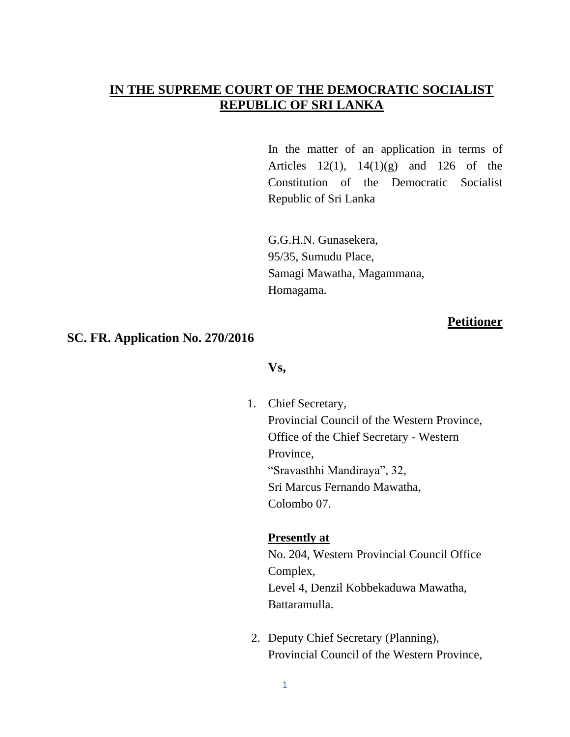# **IN THE SUPREME COURT OF THE DEMOCRATIC SOCIALIST REPUBLIC OF SRI LANKA**

In the matter of an application in terms of Articles  $12(1)$ ,  $14(1)(g)$  and  $126$  of the Constitution of the Democratic Socialist Republic of Sri Lanka

G.G.H.N. Gunasekera, 95/35, Sumudu Place, Samagi Mawatha, Magammana, Homagama.

## **Petitioner**

## **SC. FR. Application No. 270/2016**

#### **Vs,**

1. Chief Secretary, Provincial Council of the Western Province,

Office of the Chief Secretary - Western Province, "Sravasthhi Mandiraya", 32, Sri Marcus Fernando Mawatha, Colombo 07.

## **Presently at**

No. 204, Western Provincial Council Office Complex, Level 4, Denzil Kobbekaduwa Mawatha, Battaramulla.

2. Deputy Chief Secretary (Planning), Provincial Council of the Western Province,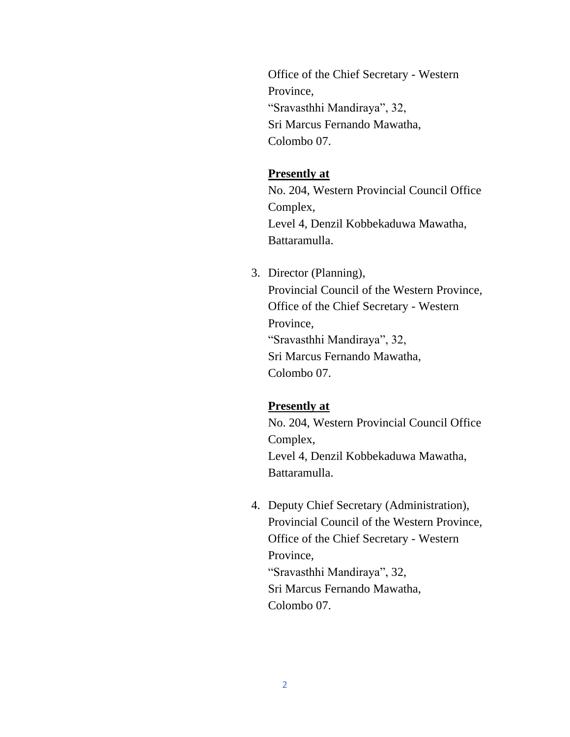Office of the Chief Secretary - Western Province, "Sravasthhi Mandiraya", 32, Sri Marcus Fernando Mawatha, Colombo 07.

## **Presently at**

No. 204, Western Provincial Council Office Complex, Level 4, Denzil Kobbekaduwa Mawatha, Battaramulla.

3. Director (Planning), Provincial Council of the Western Province, Office of the Chief Secretary - Western Province, "Sravasthhi Mandiraya", 32, Sri Marcus Fernando Mawatha, Colombo 07.

#### **Presently at**

No. 204, Western Provincial Council Office Complex, Level 4, Denzil Kobbekaduwa Mawatha, Battaramulla.

4. Deputy Chief Secretary (Administration), Provincial Council of the Western Province, Office of the Chief Secretary - Western Province, "Sravasthhi Mandiraya", 32, Sri Marcus Fernando Mawatha, Colombo 07.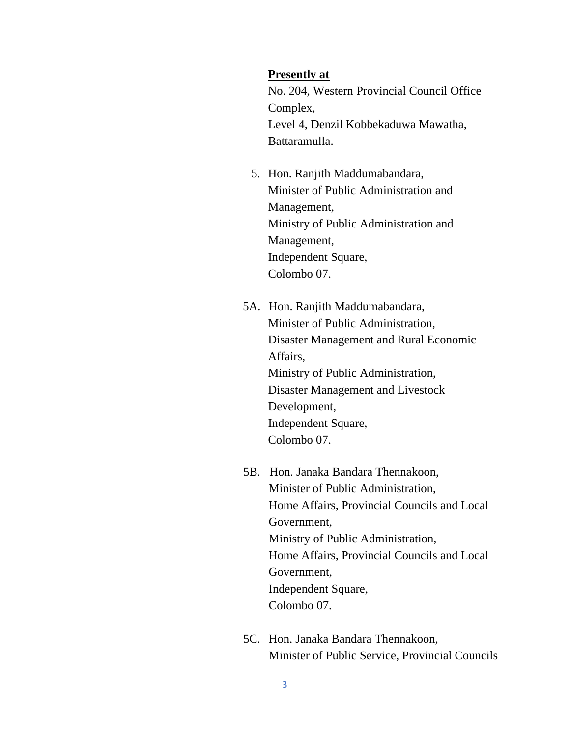#### **Presently at**

No. 204, Western Provincial Council Office Complex, Level 4, Denzil Kobbekaduwa Mawatha, Battaramulla.

- 5. Hon. Ranjith Maddumabandara, Minister of Public Administration and Management, Ministry of Public Administration and Management, Independent Square, Colombo 07.
- 5A. Hon. Ranjith Maddumabandara, Minister of Public Administration, Disaster Management and Rural Economic Affairs, Ministry of Public Administration, Disaster Management and Livestock Development, Independent Square, Colombo 07.
- 5B. Hon. Janaka Bandara Thennakoon, Minister of Public Administration, Home Affairs, Provincial Councils and Local Government, Ministry of Public Administration, Home Affairs, Provincial Councils and Local Government, Independent Square, Colombo 07.
- 5C. Hon. Janaka Bandara Thennakoon, Minister of Public Service, Provincial Councils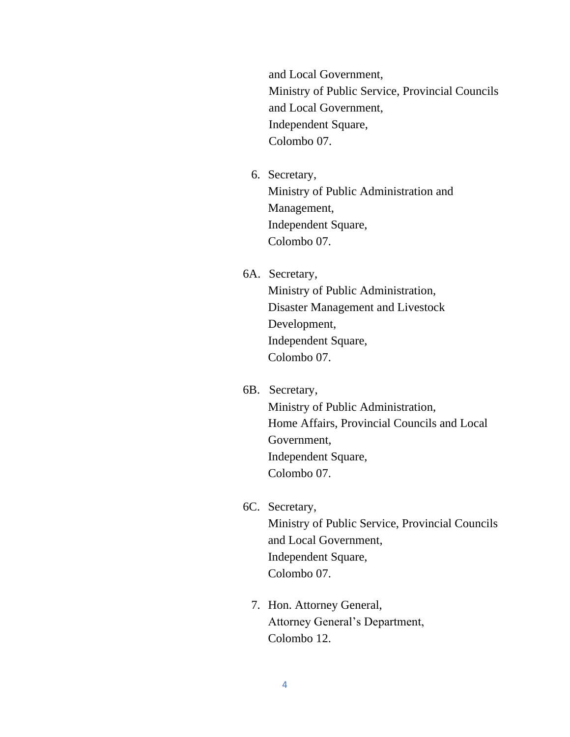and Local Government, Ministry of Public Service, Provincial Councils and Local Government, Independent Square, Colombo 07.

- 6. Secretary, Ministry of Public Administration and Management, Independent Square, Colombo 07.
- 6A. Secretary, Ministry of Public Administration, Disaster Management and Livestock Development, Independent Square, Colombo 07.
- 6B. Secretary, Ministry of Public Administration, Home Affairs, Provincial Councils and Local Government, Independent Square, Colombo 07.
- 6C. Secretary, Ministry of Public Service, Provincial Councils and Local Government, Independent Square, Colombo 07.
	- 7. Hon. Attorney General, Attorney General's Department, Colombo 12.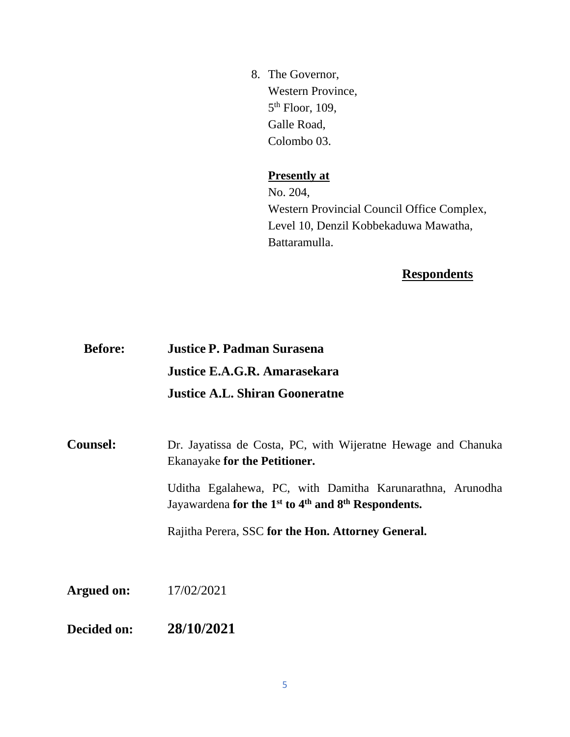8. The Governor, Western Province, 5<sup>th</sup> Floor, 109, Galle Road, Colombo 03.

# **Presently at**

No. 204, Western Provincial Council Office Complex, Level 10, Denzil Kobbekaduwa Mawatha, Battaramulla.

# **Respondents**

| <b>Before:</b> | <b>Justice P. Padman Surasena</b>     |
|----------------|---------------------------------------|
|                | Justice E.A.G.R. Amarasekara          |
|                | <b>Justice A.L. Shiran Gooneratne</b> |

**Counsel:** Dr. Jayatissa de Costa, PC, with Wijeratne Hewage and Chanuka Ekanayake **for the Petitioner.**

> Uditha Egalahewa, PC, with Damitha Karunarathna, Arunodha Jayawardena **for the 1st to 4 th and 8th Respondents.**

Rajitha Perera, SSC **for the Hon. Attorney General.** 

**Argued on:** 17/02/2021

**Decided on: 28/10/2021**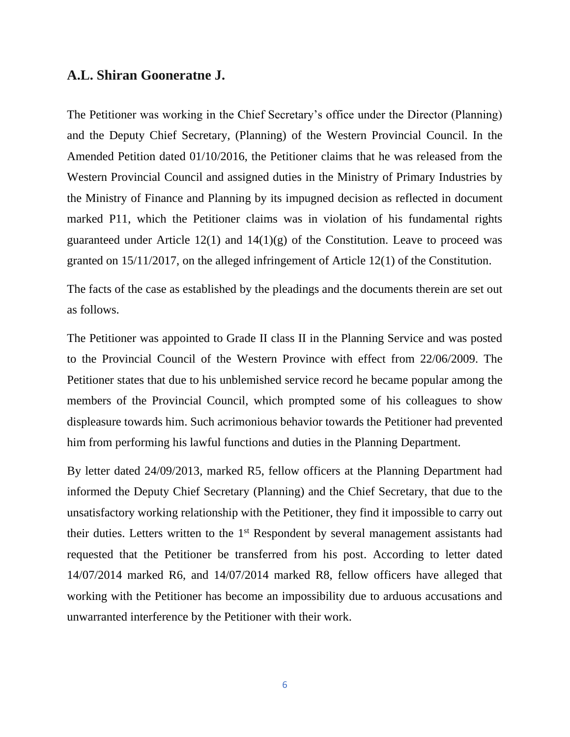## **A.L. Shiran Gooneratne J.**

The Petitioner was working in the Chief Secretary's office under the Director (Planning) and the Deputy Chief Secretary, (Planning) of the Western Provincial Council. In the Amended Petition dated 01/10/2016, the Petitioner claims that he was released from the Western Provincial Council and assigned duties in the Ministry of Primary Industries by the Ministry of Finance and Planning by its impugned decision as reflected in document marked P11, which the Petitioner claims was in violation of his fundamental rights guaranteed under Article  $12(1)$  and  $14(1)(g)$  of the Constitution. Leave to proceed was granted on 15/11/2017, on the alleged infringement of Article 12(1) of the Constitution.

The facts of the case as established by the pleadings and the documents therein are set out as follows.

The Petitioner was appointed to Grade II class II in the Planning Service and was posted to the Provincial Council of the Western Province with effect from 22/06/2009. The Petitioner states that due to his unblemished service record he became popular among the members of the Provincial Council, which prompted some of his colleagues to show displeasure towards him. Such acrimonious behavior towards the Petitioner had prevented him from performing his lawful functions and duties in the Planning Department.

By letter dated 24/09/2013, marked R5, fellow officers at the Planning Department had informed the Deputy Chief Secretary (Planning) and the Chief Secretary, that due to the unsatisfactory working relationship with the Petitioner, they find it impossible to carry out their duties. Letters written to the 1<sup>st</sup> Respondent by several management assistants had requested that the Petitioner be transferred from his post. According to letter dated 14/07/2014 marked R6, and 14/07/2014 marked R8, fellow officers have alleged that working with the Petitioner has become an impossibility due to arduous accusations and unwarranted interference by the Petitioner with their work.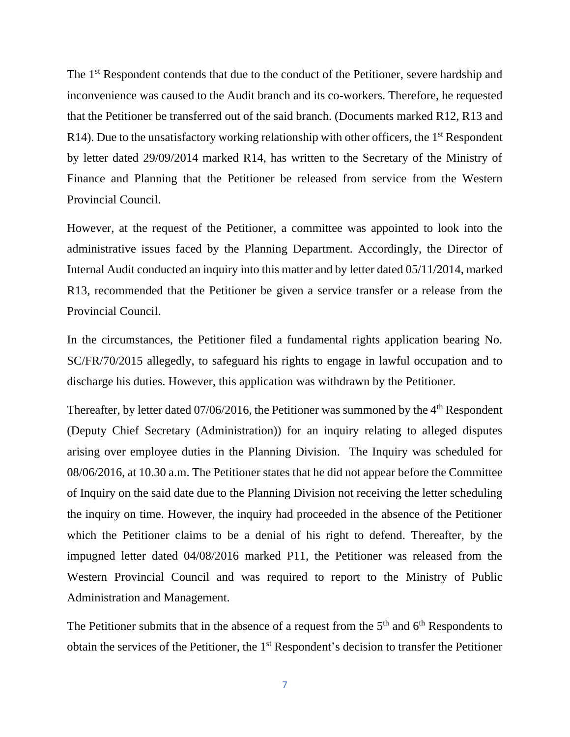The 1<sup>st</sup> Respondent contends that due to the conduct of the Petitioner, severe hardship and inconvenience was caused to the Audit branch and its co-workers. Therefore, he requested that the Petitioner be transferred out of the said branch. (Documents marked R12, R13 and R14). Due to the unsatisfactory working relationship with other officers, the  $1<sup>st</sup>$  Respondent by letter dated 29/09/2014 marked R14, has written to the Secretary of the Ministry of Finance and Planning that the Petitioner be released from service from the Western Provincial Council.

However, at the request of the Petitioner, a committee was appointed to look into the administrative issues faced by the Planning Department. Accordingly, the Director of Internal Audit conducted an inquiry into this matter and by letter dated 05/11/2014, marked R13, recommended that the Petitioner be given a service transfer or a release from the Provincial Council.

In the circumstances, the Petitioner filed a fundamental rights application bearing No. SC/FR/70/2015 allegedly, to safeguard his rights to engage in lawful occupation and to discharge his duties. However, this application was withdrawn by the Petitioner.

Thereafter, by letter dated 07/06/2016, the Petitioner was summoned by the 4<sup>th</sup> Respondent (Deputy Chief Secretary (Administration)) for an inquiry relating to alleged disputes arising over employee duties in the Planning Division. The Inquiry was scheduled for 08/06/2016, at 10.30 a.m. The Petitioner states that he did not appear before the Committee of Inquiry on the said date due to the Planning Division not receiving the letter scheduling the inquiry on time. However, the inquiry had proceeded in the absence of the Petitioner which the Petitioner claims to be a denial of his right to defend. Thereafter, by the impugned letter dated 04/08/2016 marked P11, the Petitioner was released from the Western Provincial Council and was required to report to the Ministry of Public Administration and Management.

The Petitioner submits that in the absence of a request from the  $5<sup>th</sup>$  and  $6<sup>th</sup>$  Respondents to obtain the services of the Petitioner, the 1st Respondent's decision to transfer the Petitioner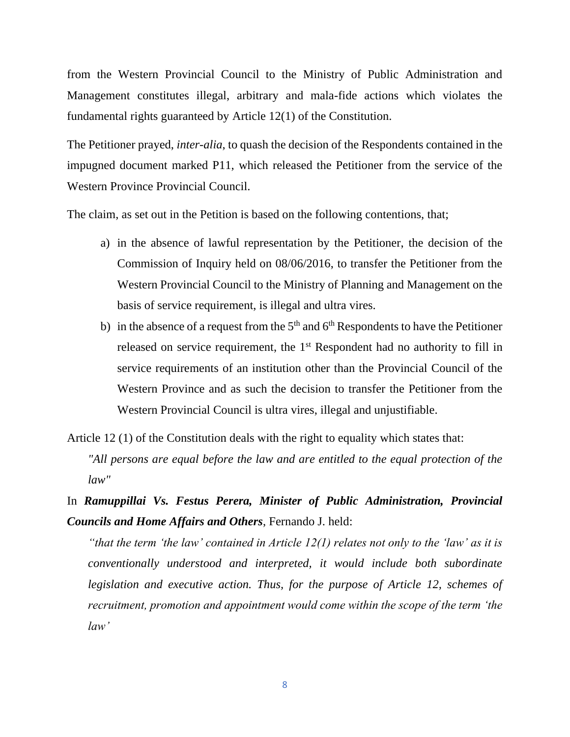from the Western Provincial Council to the Ministry of Public Administration and Management constitutes illegal, arbitrary and mala-fide actions which violates the fundamental rights guaranteed by Article 12(1) of the Constitution.

The Petitioner prayed, *inter-alia*, to quash the decision of the Respondents contained in the impugned document marked P11, which released the Petitioner from the service of the Western Province Provincial Council.

The claim, as set out in the Petition is based on the following contentions, that;

- a) in the absence of lawful representation by the Petitioner, the decision of the Commission of Inquiry held on 08/06/2016, to transfer the Petitioner from the Western Provincial Council to the Ministry of Planning and Management on the basis of service requirement, is illegal and ultra vires.
- b) in the absence of a request from the  $5<sup>th</sup>$  and  $6<sup>th</sup>$  Respondents to have the Petitioner released on service requirement, the 1<sup>st</sup> Respondent had no authority to fill in service requirements of an institution other than the Provincial Council of the Western Province and as such the decision to transfer the Petitioner from the Western Provincial Council is ultra vires, illegal and unjustifiable.

Article 12 (1) of the Constitution deals with the right to equality which states that:

*"All persons are equal before the law and are entitled to the equal protection of the law"* 

In *Ramuppillai Vs. Festus Perera, Minister of Public Administration, Provincial Councils and Home Affairs and Others*, Fernando J. held:

*"that the term 'the law' contained in Article 12(1) relates not only to the 'law' as it is conventionally understood and interpreted, it would include both subordinate legislation and executive action. Thus, for the purpose of Article 12, schemes of recruitment, promotion and appointment would come within the scope of the term 'the law'*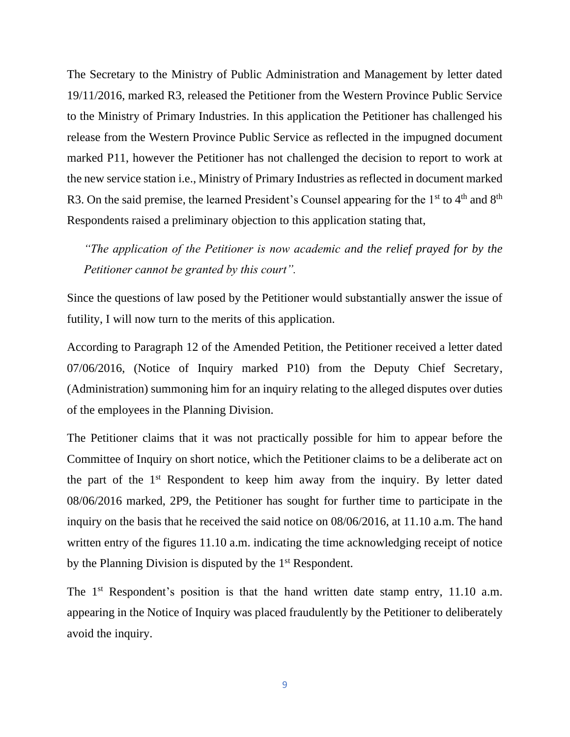The Secretary to the Ministry of Public Administration and Management by letter dated 19/11/2016, marked R3, released the Petitioner from the Western Province Public Service to the Ministry of Primary Industries. In this application the Petitioner has challenged his release from the Western Province Public Service as reflected in the impugned document marked P11, however the Petitioner has not challenged the decision to report to work at the new service station i.e., Ministry of Primary Industries as reflected in document marked R3. On the said premise, the learned President's Counsel appearing for the 1<sup>st</sup> to 4<sup>th</sup> and 8<sup>th</sup> Respondents raised a preliminary objection to this application stating that,

*"The application of the Petitioner is now academic and the relief prayed for by the Petitioner cannot be granted by this court".*

Since the questions of law posed by the Petitioner would substantially answer the issue of futility, I will now turn to the merits of this application.

According to Paragraph 12 of the Amended Petition, the Petitioner received a letter dated 07/06/2016, (Notice of Inquiry marked P10) from the Deputy Chief Secretary, (Administration) summoning him for an inquiry relating to the alleged disputes over duties of the employees in the Planning Division.

The Petitioner claims that it was not practically possible for him to appear before the Committee of Inquiry on short notice, which the Petitioner claims to be a deliberate act on the part of the 1st Respondent to keep him away from the inquiry. By letter dated 08/06/2016 marked, 2P9, the Petitioner has sought for further time to participate in the inquiry on the basis that he received the said notice on 08/06/2016, at 11.10 a.m. The hand written entry of the figures 11.10 a.m. indicating the time acknowledging receipt of notice by the Planning Division is disputed by the 1<sup>st</sup> Respondent.

The 1<sup>st</sup> Respondent's position is that the hand written date stamp entry, 11.10 a.m. appearing in the Notice of Inquiry was placed fraudulently by the Petitioner to deliberately avoid the inquiry.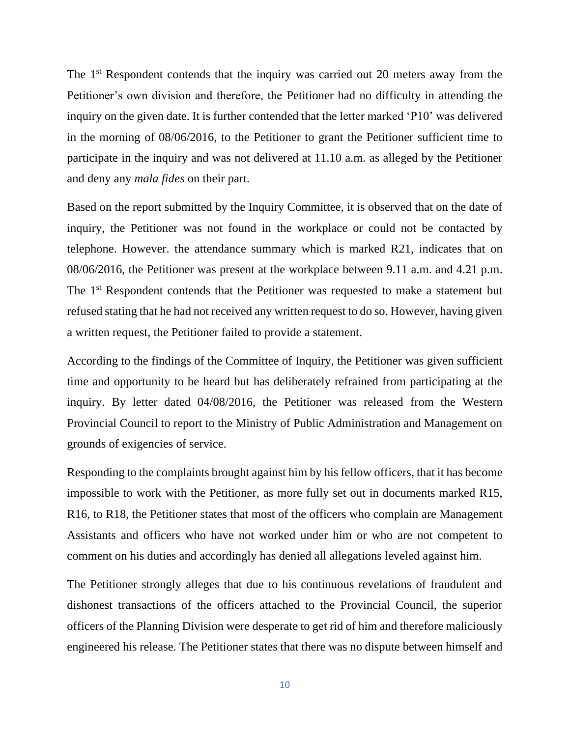The 1<sup>st</sup> Respondent contends that the inquiry was carried out 20 meters away from the Petitioner's own division and therefore, the Petitioner had no difficulty in attending the inquiry on the given date. It is further contended that the letter marked 'P10' was delivered in the morning of 08/06/2016, to the Petitioner to grant the Petitioner sufficient time to participate in the inquiry and was not delivered at 11.10 a.m. as alleged by the Petitioner and deny any *mala fides* on their part.

Based on the report submitted by the Inquiry Committee, it is observed that on the date of inquiry, the Petitioner was not found in the workplace or could not be contacted by telephone. However. the attendance summary which is marked R21, indicates that on 08/06/2016, the Petitioner was present at the workplace between 9.11 a.m. and 4.21 p.m. The 1<sup>st</sup> Respondent contends that the Petitioner was requested to make a statement but refused stating that he had not received any written request to do so. However, having given a written request, the Petitioner failed to provide a statement.

According to the findings of the Committee of Inquiry, the Petitioner was given sufficient time and opportunity to be heard but has deliberately refrained from participating at the inquiry. By letter dated 04/08/2016, the Petitioner was released from the Western Provincial Council to report to the Ministry of Public Administration and Management on grounds of exigencies of service.

Responding to the complaints brought against him by his fellow officers, that it has become impossible to work with the Petitioner, as more fully set out in documents marked R15, R16, to R18, the Petitioner states that most of the officers who complain are Management Assistants and officers who have not worked under him or who are not competent to comment on his duties and accordingly has denied all allegations leveled against him.

The Petitioner strongly alleges that due to his continuous revelations of fraudulent and dishonest transactions of the officers attached to the Provincial Council, the superior officers of the Planning Division were desperate to get rid of him and therefore maliciously engineered his release. The Petitioner states that there was no dispute between himself and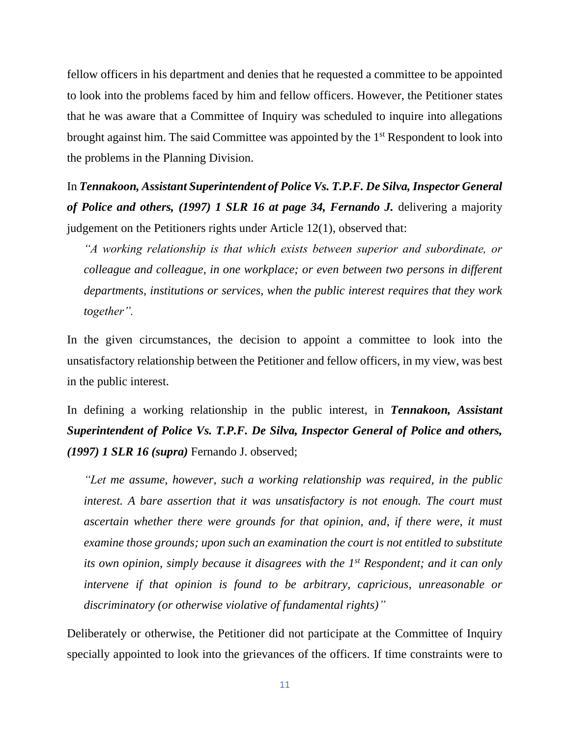fellow officers in his department and denies that he requested a committee to be appointed to look into the problems faced by him and fellow officers. However, the Petitioner states that he was aware that a Committee of Inquiry was scheduled to inquire into allegations brought against him. The said Committee was appointed by the 1<sup>st</sup> Respondent to look into the problems in the Planning Division.

In *Tennakoon, Assistant Superintendent of Police Vs. T.P.F. De Silva, Inspector General of Police and others, (1997) 1 SLR 16 at page 34, Fernando J.* delivering a majority judgement on the Petitioners rights under Article 12(1), observed that:

*"A working relationship is that which exists between superior and subordinate, or colleague and colleague, in one workplace; or even between two persons in different departments, institutions or services, when the public interest requires that they work together".* 

In the given circumstances, the decision to appoint a committee to look into the unsatisfactory relationship between the Petitioner and fellow officers, in my view, was best in the public interest.

In defining a working relationship in the public interest, in *Tennakoon, Assistant Superintendent of Police Vs. T.P.F. De Silva, Inspector General of Police and others, (1997) 1 SLR 16 (supra)* Fernando J. observed;

*"Let me assume, however, such a working relationship was required, in the public interest. A bare assertion that it was unsatisfactory is not enough. The court must ascertain whether there were grounds for that opinion, and, if there were, it must examine those grounds; upon such an examination the court is not entitled to substitute its own opinion, simply because it disagrees with the 1st Respondent; and it can only intervene if that opinion is found to be arbitrary, capricious, unreasonable or discriminatory (or otherwise violative of fundamental rights)"*

Deliberately or otherwise, the Petitioner did not participate at the Committee of Inquiry specially appointed to look into the grievances of the officers. If time constraints were to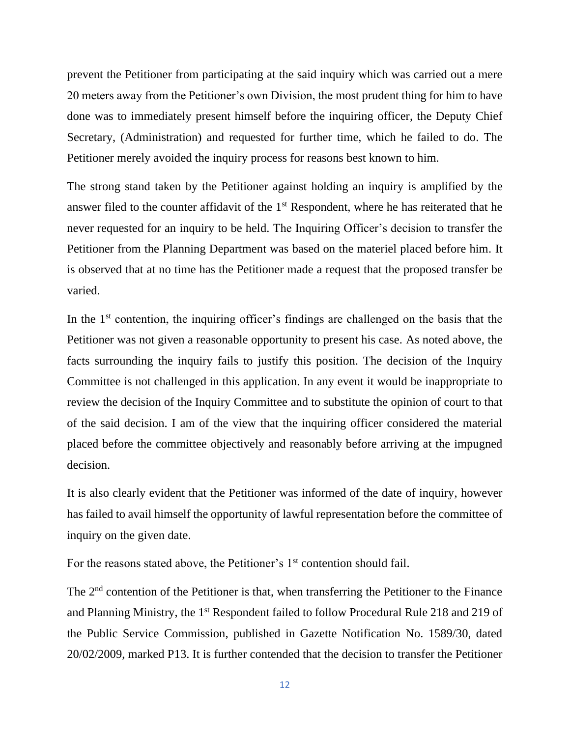prevent the Petitioner from participating at the said inquiry which was carried out a mere 20 meters away from the Petitioner's own Division, the most prudent thing for him to have done was to immediately present himself before the inquiring officer, the Deputy Chief Secretary, (Administration) and requested for further time, which he failed to do. The Petitioner merely avoided the inquiry process for reasons best known to him.

The strong stand taken by the Petitioner against holding an inquiry is amplified by the answer filed to the counter affidavit of the 1st Respondent, where he has reiterated that he never requested for an inquiry to be held. The Inquiring Officer's decision to transfer the Petitioner from the Planning Department was based on the materiel placed before him. It is observed that at no time has the Petitioner made a request that the proposed transfer be varied.

In the 1<sup>st</sup> contention, the inquiring officer's findings are challenged on the basis that the Petitioner was not given a reasonable opportunity to present his case. As noted above, the facts surrounding the inquiry fails to justify this position. The decision of the Inquiry Committee is not challenged in this application. In any event it would be inappropriate to review the decision of the Inquiry Committee and to substitute the opinion of court to that of the said decision. I am of the view that the inquiring officer considered the material placed before the committee objectively and reasonably before arriving at the impugned decision.

It is also clearly evident that the Petitioner was informed of the date of inquiry, however has failed to avail himself the opportunity of lawful representation before the committee of inquiry on the given date.

For the reasons stated above, the Petitioner's 1<sup>st</sup> contention should fail.

The 2<sup>nd</sup> contention of the Petitioner is that, when transferring the Petitioner to the Finance and Planning Ministry, the 1<sup>st</sup> Respondent failed to follow Procedural Rule 218 and 219 of the Public Service Commission, published in Gazette Notification No. 1589/30, dated 20/02/2009, marked P13. It is further contended that the decision to transfer the Petitioner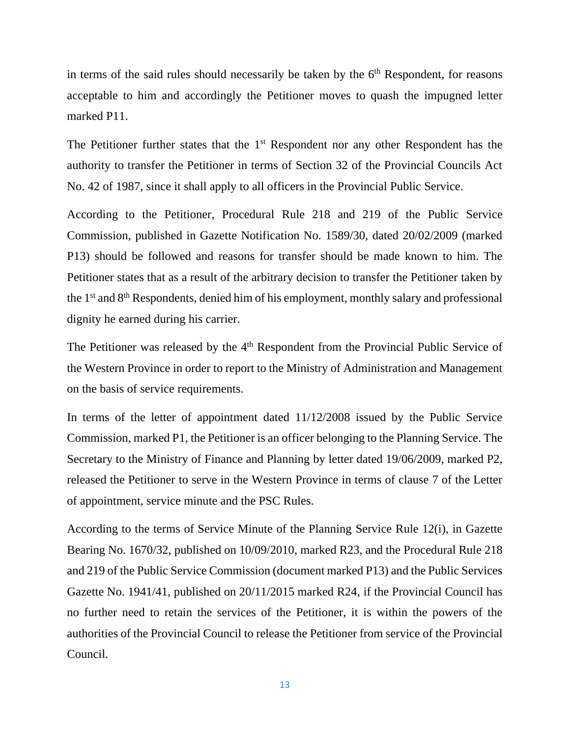in terms of the said rules should necessarily be taken by the  $6<sup>th</sup>$  Respondent, for reasons acceptable to him and accordingly the Petitioner moves to quash the impugned letter marked P11.

The Petitioner further states that the 1<sup>st</sup> Respondent nor any other Respondent has the authority to transfer the Petitioner in terms of Section 32 of the Provincial Councils Act No. 42 of 1987, since it shall apply to all officers in the Provincial Public Service.

According to the Petitioner, Procedural Rule 218 and 219 of the Public Service Commission, published in Gazette Notification No. 1589/30, dated 20/02/2009 (marked P13) should be followed and reasons for transfer should be made known to him. The Petitioner states that as a result of the arbitrary decision to transfer the Petitioner taken by the 1st and 8th Respondents, denied him of his employment, monthly salary and professional dignity he earned during his carrier.

The Petitioner was released by the 4<sup>th</sup> Respondent from the Provincial Public Service of the Western Province in order to report to the Ministry of Administration and Management on the basis of service requirements.

In terms of the letter of appointment dated 11/12/2008 issued by the Public Service Commission, marked P1, the Petitioner is an officer belonging to the Planning Service. The Secretary to the Ministry of Finance and Planning by letter dated 19/06/2009, marked P2, released the Petitioner to serve in the Western Province in terms of clause 7 of the Letter of appointment, service minute and the PSC Rules.

According to the terms of Service Minute of the Planning Service Rule 12(i), in Gazette Bearing No. 1670/32, published on 10/09/2010, marked R23, and the Procedural Rule 218 and 219 of the Public Service Commission (document marked P13) and the Public Services Gazette No. 1941/41, published on 20/11/2015 marked R24, if the Provincial Council has no further need to retain the services of the Petitioner, it is within the powers of the authorities of the Provincial Council to release the Petitioner from service of the Provincial Council.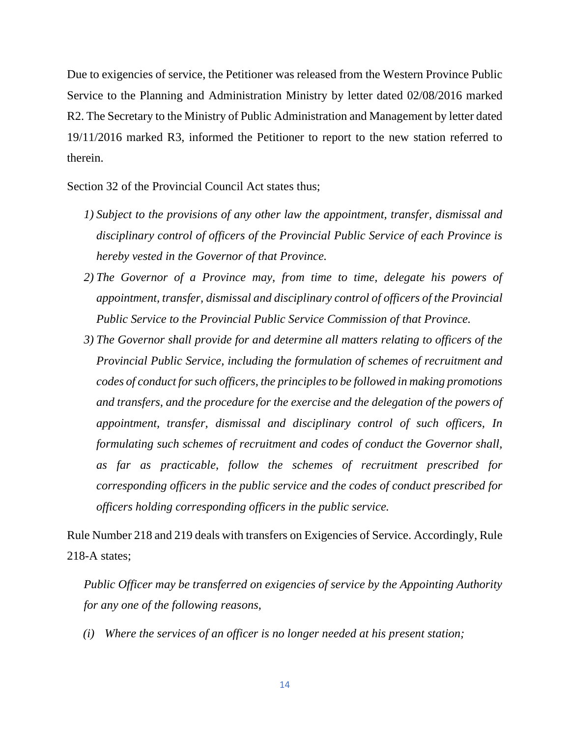Due to exigencies of service, the Petitioner was released from the Western Province Public Service to the Planning and Administration Ministry by letter dated 02/08/2016 marked R2. The Secretary to the Ministry of Public Administration and Management by letter dated 19/11/2016 marked R3, informed the Petitioner to report to the new station referred to therein.

Section 32 of the Provincial Council Act states thus;

- *1) Subject to the provisions of any other law the appointment, transfer, dismissal and disciplinary control of officers of the Provincial Public Service of each Province is hereby vested in the Governor of that Province.*
- *2) The Governor of a Province may, from time to time, delegate his powers of appointment, transfer, dismissal and disciplinary control of officers of the Provincial Public Service to the Provincial Public Service Commission of that Province.*
- *3) The Governor shall provide for and determine all matters relating to officers of the Provincial Public Service, including the formulation of schemes of recruitment and codes of conduct for such officers, the principles to be followed in making promotions and transfers, and the procedure for the exercise and the delegation of the powers of appointment, transfer, dismissal and disciplinary control of such officers, In formulating such schemes of recruitment and codes of conduct the Governor shall, as far as practicable, follow the schemes of recruitment prescribed for corresponding officers in the public service and the codes of conduct prescribed for officers holding corresponding officers in the public service.*

Rule Number 218 and 219 deals with transfers on Exigencies of Service. Accordingly, Rule 218-A states;

*Public Officer may be transferred on exigencies of service by the Appointing Authority for any one of the following reasons,*

*(i) Where the services of an officer is no longer needed at his present station;*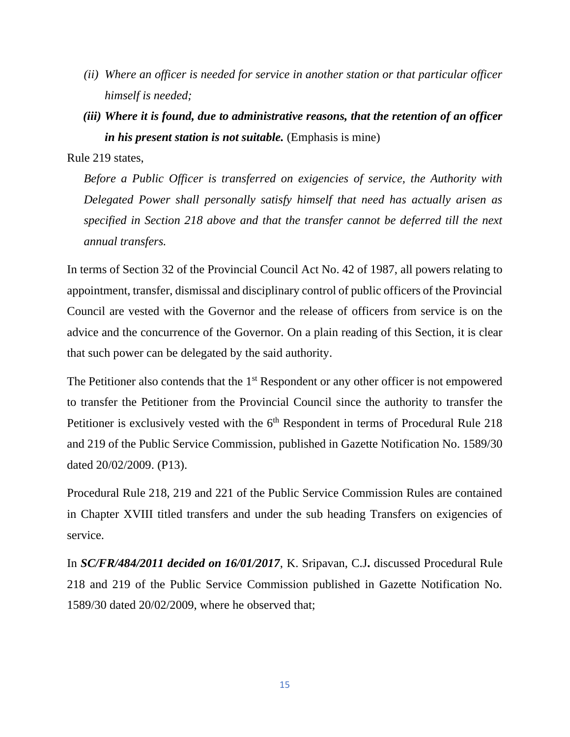- *(ii) Where an officer is needed for service in another station or that particular officer himself is needed;*
- *(iii) Where it is found, due to administrative reasons, that the retention of an officer in his present station is not suitable.* (Emphasis is mine)

Rule 219 states,

*Before a Public Officer is transferred on exigencies of service, the Authority with Delegated Power shall personally satisfy himself that need has actually arisen as specified in Section 218 above and that the transfer cannot be deferred till the next annual transfers.*

In terms of Section 32 of the Provincial Council Act No. 42 of 1987, all powers relating to appointment, transfer, dismissal and disciplinary control of public officers of the Provincial Council are vested with the Governor and the release of officers from service is on the advice and the concurrence of the Governor. On a plain reading of this Section, it is clear that such power can be delegated by the said authority.

The Petitioner also contends that the  $1<sup>st</sup>$  Respondent or any other officer is not empowered to transfer the Petitioner from the Provincial Council since the authority to transfer the Petitioner is exclusively vested with the 6<sup>th</sup> Respondent in terms of Procedural Rule 218 and 219 of the Public Service Commission, published in Gazette Notification No. 1589/30 dated 20/02/2009. (P13).

Procedural Rule 218, 219 and 221 of the Public Service Commission Rules are contained in Chapter XVIII titled transfers and under the sub heading Transfers on exigencies of service.

In *SC/FR/484/2011 decided on 16/01/2017*, K. Sripavan, C.J**.** discussed Procedural Rule 218 and 219 of the Public Service Commission published in Gazette Notification No. 1589/30 dated 20/02/2009, where he observed that;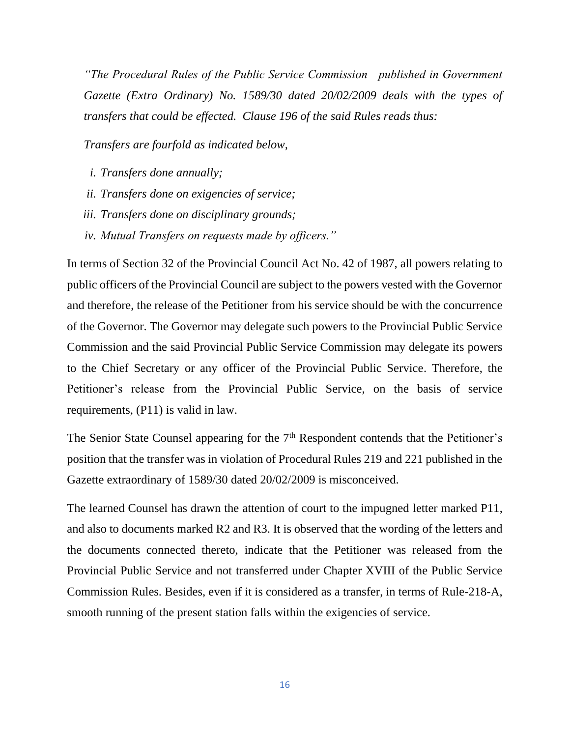*"The Procedural Rules of the Public Service Commission published in Government Gazette (Extra Ordinary) No. 1589/30 dated 20/02/2009 deals with the types of transfers that could be effected. Clause 196 of the said Rules reads thus:*

*Transfers are fourfold as indicated below,*

- *i. Transfers done annually;*
- *ii. Transfers done on exigencies of service;*
- *iii. Transfers done on disciplinary grounds;*
- *iv. Mutual Transfers on requests made by officers."*

In terms of Section 32 of the Provincial Council Act No. 42 of 1987, all powers relating to public officers of the Provincial Council are subject to the powers vested with the Governor and therefore, the release of the Petitioner from his service should be with the concurrence of the Governor. The Governor may delegate such powers to the Provincial Public Service Commission and the said Provincial Public Service Commission may delegate its powers to the Chief Secretary or any officer of the Provincial Public Service. Therefore, the Petitioner's release from the Provincial Public Service, on the basis of service requirements, (P11) is valid in law.

The Senior State Counsel appearing for the 7<sup>th</sup> Respondent contends that the Petitioner's position that the transfer was in violation of Procedural Rules 219 and 221 published in the Gazette extraordinary of 1589/30 dated 20/02/2009 is misconceived.

The learned Counsel has drawn the attention of court to the impugned letter marked P11, and also to documents marked R2 and R3. It is observed that the wording of the letters and the documents connected thereto, indicate that the Petitioner was released from the Provincial Public Service and not transferred under Chapter XVIII of the Public Service Commission Rules. Besides, even if it is considered as a transfer, in terms of Rule-218-A, smooth running of the present station falls within the exigencies of service.